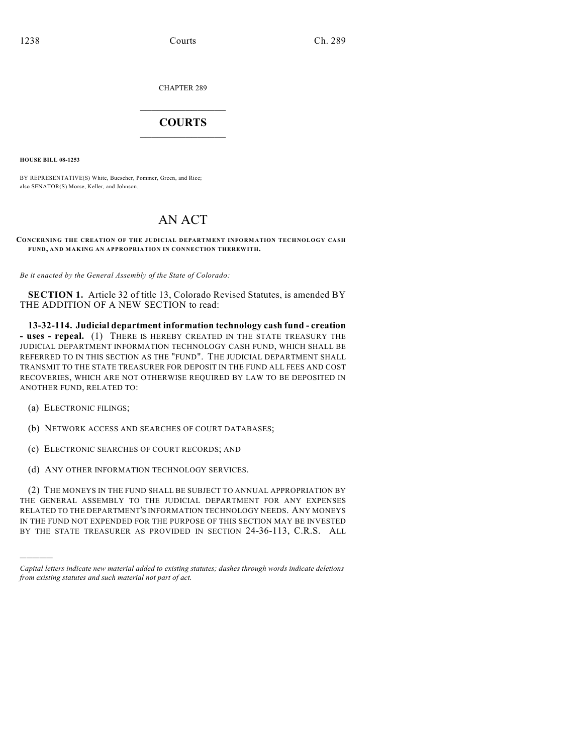CHAPTER 289

## $\overline{\phantom{a}}$  . The set of the set of the set of the set of the set of the set of the set of the set of the set of the set of the set of the set of the set of the set of the set of the set of the set of the set of the set o **COURTS**  $\_$

**HOUSE BILL 08-1253**

BY REPRESENTATIVE(S) White, Buescher, Pommer, Green, and Rice; also SENATOR(S) Morse, Keller, and Johnson.

## AN ACT

## **CONCERNING THE CREATION OF THE JUDICIAL DEPARTMENT INFORM ATION TECHNOLOGY CASH FUND, AND MAKING AN APPROPRIATION IN CONNECTION THEREWITH.**

*Be it enacted by the General Assembly of the State of Colorado:*

**SECTION 1.** Article 32 of title 13, Colorado Revised Statutes, is amended BY THE ADDITION OF A NEW SECTION to read:

**13-32-114. Judicial department information technology cash fund - creation - uses - repeal.** (1) THERE IS HEREBY CREATED IN THE STATE TREASURY THE JUDICIAL DEPARTMENT INFORMATION TECHNOLOGY CASH FUND, WHICH SHALL BE REFERRED TO IN THIS SECTION AS THE "FUND". THE JUDICIAL DEPARTMENT SHALL TRANSMIT TO THE STATE TREASURER FOR DEPOSIT IN THE FUND ALL FEES AND COST RECOVERIES, WHICH ARE NOT OTHERWISE REQUIRED BY LAW TO BE DEPOSITED IN ANOTHER FUND, RELATED TO:

(a) ELECTRONIC FILINGS;

)))))

- (b) NETWORK ACCESS AND SEARCHES OF COURT DATABASES;
- (c) ELECTRONIC SEARCHES OF COURT RECORDS; AND
- (d) ANY OTHER INFORMATION TECHNOLOGY SERVICES.

(2) THE MONEYS IN THE FUND SHALL BE SUBJECT TO ANNUAL APPROPRIATION BY THE GENERAL ASSEMBLY TO THE JUDICIAL DEPARTMENT FOR ANY EXPENSES RELATED TO THE DEPARTMENT'S INFORMATION TECHNOLOGY NEEDS. ANY MONEYS IN THE FUND NOT EXPENDED FOR THE PURPOSE OF THIS SECTION MAY BE INVESTED BY THE STATE TREASURER AS PROVIDED IN SECTION 24-36-113, C.R.S. ALL

*Capital letters indicate new material added to existing statutes; dashes through words indicate deletions from existing statutes and such material not part of act.*